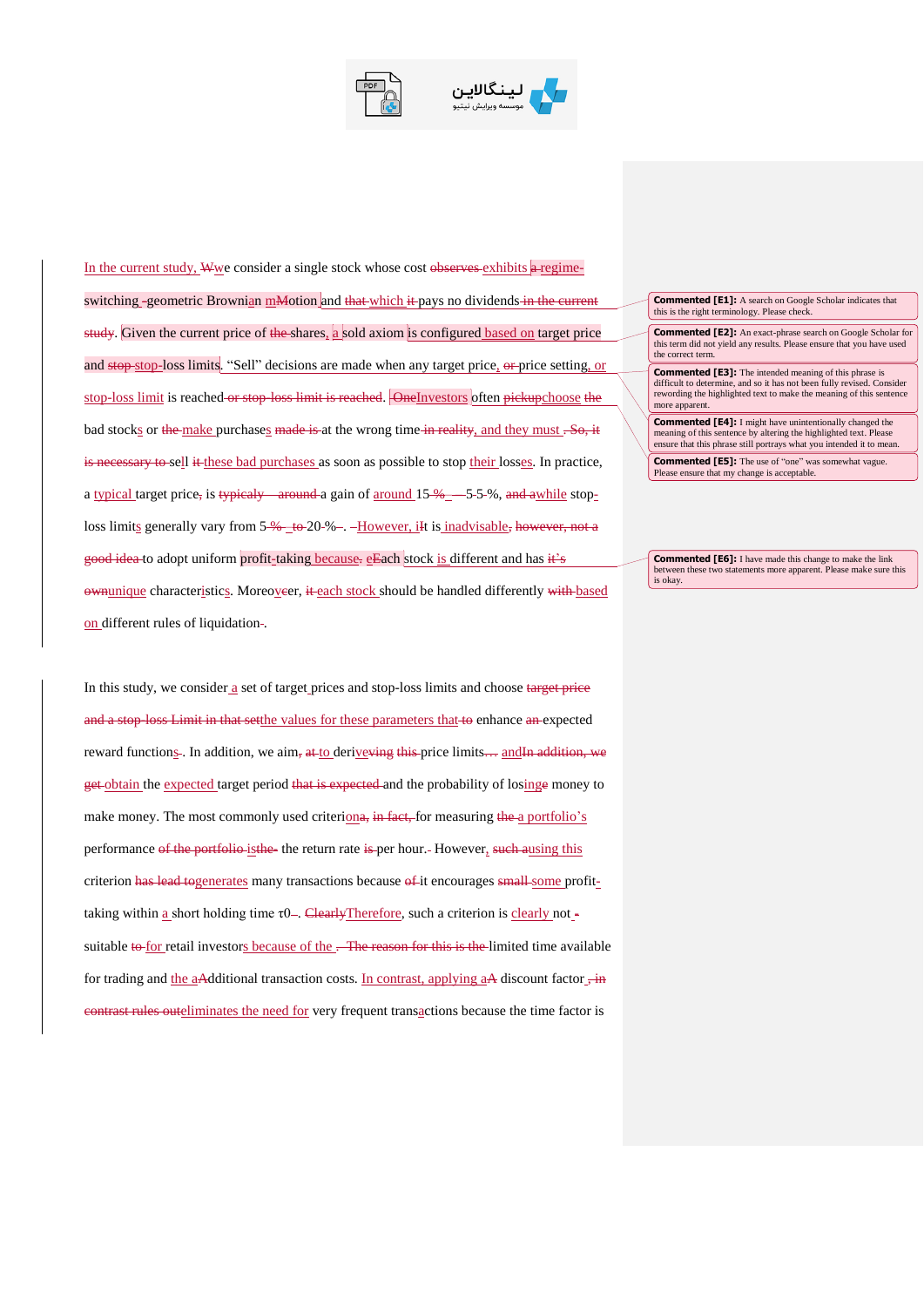



In the current study, Wwe consider a single stock whose cost observes exhibits  $\theta$ -regimeswitching -geometric Brownian mMotion and that which it pays no dividends in the current study. Given the current price of the shares, a sold axiom is configured based on target price and stop-stop-loss limits. "Sell" decisions are made when any target price, or price setting, or stop-loss limit is reached or stop-loss limit is reached. OneInvestors often pickupchoose the bad stocks or the make purchases made is at the wrong time in reality, and they must . So, it is necessary to sell it these bad purchases as soon as possible to stop their losses. In practice, a typical target price, is typicaly around a gain of around  $15\%$  ––5-5-%, and awhile stoploss limits generally vary from  $5\%$  to  $20\%$  –. -However, iit is inadvisable, however, not a good idea to adopt uniform profit-taking because. eEach stock is different and has it's ownunique characteristics. Moreoveer, it each stock should be handled differently with based on different rules of liquidation-.

In this study, we consider a set of target prices and stop-loss limits and choose target price and a stop-loss Limit in that setthe values for these parameters that to enhance an expected reward functions -. In addition, we aim, at to derive ving this price limits ... and In addition, we get obtain the expected target period that is expected and the probability of losinge money to make money. The most commonly used criteriona, in fact, for measuring the a portfolio's performance of the portfolio-isthe- the return rate is per hour. However, such ausing this criterion has lead togenerates many transactions because of it encourages small some profittaking within a short holding time  $\tau$ 0 –. Clearly Therefore, such a criterion is clearly not suitable to for retail investors because of the . The reason for this is the limited time available for trading and the aAdditional transaction costs. In contrast, applying  $aA$  discount factor  $\overline{f}$  in contrast rules outeliminates the need for very frequent transactions because the time factor is

## **Commented [E1]:** A search on Google Scholar indicates that this is the right terminology. Please check.

**Commented [E2]:** An exact-phrase search on Google Scholar for this term did not yield any results. Please ensure that you have used the correct term.

**Commented [E3]:** The intended meaning of this phrase is difficult to determine, and so it has not been fully revised. Consider rewording the highlighted text to make the meaning of this sentence more apparent

**Commented [E4]:** I might have unintentionally changed the meaning of this sentence by altering the highlighted text. Please ensure that this phrase still portrays what you intended it to mean.

**Commented [E5]:** The use of "one" was somewhat vague. Please ensure that my change is acceptable.

**Commented [E6]:** I have made this change to make the link between these two statements more apparent. Please make sure this is okay.